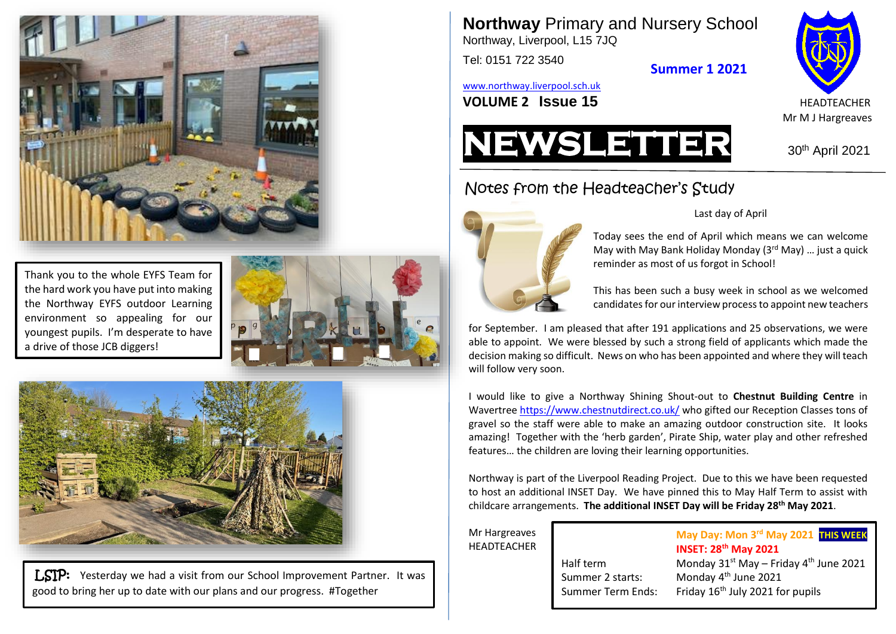

Thank you to the whole EYFS Team for the hard work you have put into making the Northway EYFS outdoor Learning environment so appealing for our youngest pupils. I'm desperate to have a drive of those JCB diggers!

**Team SMWD!**



LSIP: Yesterday we had a visit from our School Improvement Partner. It was good to bring her up to date with our plans and our progress. #Together

**Northway** Primary and Nursery School Northway, Liverpool, L15 7JQ

Tel: 0151 722 3540

**Summer 1 2021**

[www.northway.liverpool.sch.uk](http://www.northway.liverpool.sch.uk/)







## Last day of April

Today sees the end of April which means we can welcome May with May Bank Holiday Monday (3rd May) … just a quick reminder as most of us forgot in School!

This has been such a busy week in school as we welcomed candidates for our interview process to appoint new teachers

for September. I am pleased that after 191 applications and 25 observations, we were able to appoint. We were blessed by such a strong field of applicants which made the decision making so difficult. News on who has been appointed and where they will teach will follow very soon.

I would like to give a Northway Shining Shout-out to **Chestnut Building Centre** in Wavertre[e https://www.chestnutdirect.co.uk/](https://www.chestnutdirect.co.uk/) who gifted our Reception Classes tons of gravel so the staff were able to make an amazing outdoor construction site. It looks amazing! Together with the 'herb garden', Pirate Ship, water play and other refreshed features… the children are loving their learning opportunities.

Northway is part of the Liverpool Reading Project. Due to this we have been requested to host an additional INSET Day. We have pinned this to May Half Term to assist with childcare arrangements. **The additional INSET Day will be Friday 28th May 2021**.

Mr Hargreaves **HEADTFACHER** 

**May Day: Mon 3 rd May 2021 THIS WEEK INSET: 28th May 2021** Half term Monday  $31<sup>st</sup>$  May – Friday  $4<sup>th</sup>$  June 2021 Monday 4<sup>th</sup> June 2021

Summer 2 starts:

Summer Term Ends: Friday 16<sup>th</sup> July 2021 for pupils